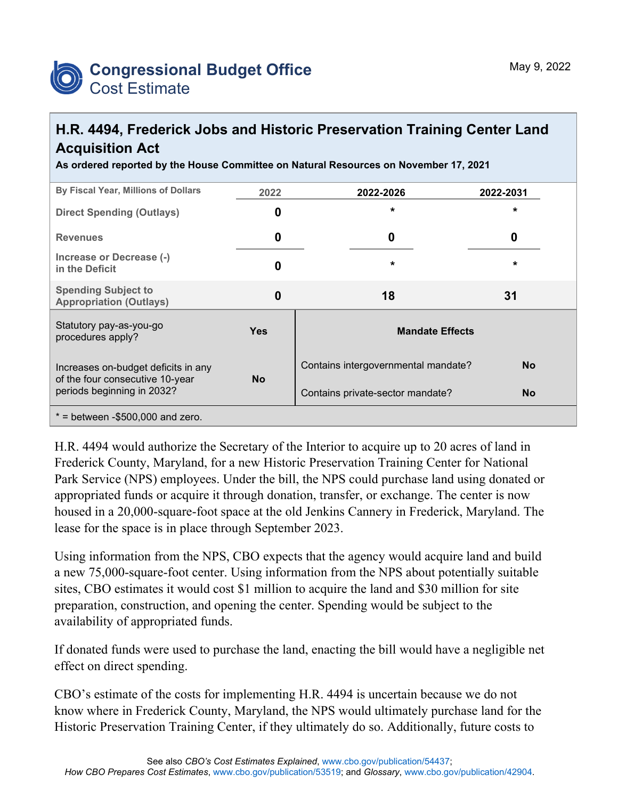

## **H.R. 4494, Frederick Jobs and Historic Preservation Training Center Land Acquisition Act**

**As ordered reported by the House Committee on Natural Resources on November 17, 2021**

| By Fiscal Year, Millions of Dollars                                    | 2022       | 2022-2026                           | 2022-2031 |  |  |  |  |
|------------------------------------------------------------------------|------------|-------------------------------------|-----------|--|--|--|--|
| <b>Direct Spending (Outlays)</b>                                       | 0          | $\star$                             | *         |  |  |  |  |
| <b>Revenues</b>                                                        | 0          | 0                                   | 0         |  |  |  |  |
| Increase or Decrease (-)<br>in the Deficit                             | 0          | $\star$                             | $\star$   |  |  |  |  |
| <b>Spending Subject to</b><br><b>Appropriation (Outlays)</b>           | 0          | 18                                  | 31        |  |  |  |  |
| Statutory pay-as-you-go<br>procedures apply?                           | <b>Yes</b> | <b>Mandate Effects</b>              |           |  |  |  |  |
| Increases on-budget deficits in any<br>of the four consecutive 10-year | <b>No</b>  | Contains intergovernmental mandate? | <b>No</b> |  |  |  |  |
| periods beginning in 2032?                                             |            | Contains private-sector mandate?    | <b>No</b> |  |  |  |  |
| $*$ = between -\$500,000 and zero.                                     |            |                                     |           |  |  |  |  |

H.R. 4494 would authorize the Secretary of the Interior to acquire up to 20 acres of land in Frederick County, Maryland, for a new Historic Preservation Training Center for National Park Service (NPS) employees. Under the bill, the NPS could purchase land using donated or appropriated funds or acquire it through donation, transfer, or exchange. The center is now housed in a 20,000-square-foot space at the old Jenkins Cannery in Frederick, Maryland. The lease for the space is in place through September 2023.

Using information from the NPS, CBO expects that the agency would acquire land and build a new 75,000-square-foot center. Using information from the NPS about potentially suitable sites, CBO estimates it would cost \$1 million to acquire the land and \$30 million for site preparation, construction, and opening the center. Spending would be subject to the availability of appropriated funds.

If donated funds were used to purchase the land, enacting the bill would have a negligible net effect on direct spending.

CBO's estimate of the costs for implementing H.R. 4494 is uncertain because we do not know where in Frederick County, Maryland, the NPS would ultimately purchase land for the Historic Preservation Training Center, if they ultimately do so. Additionally, future costs to